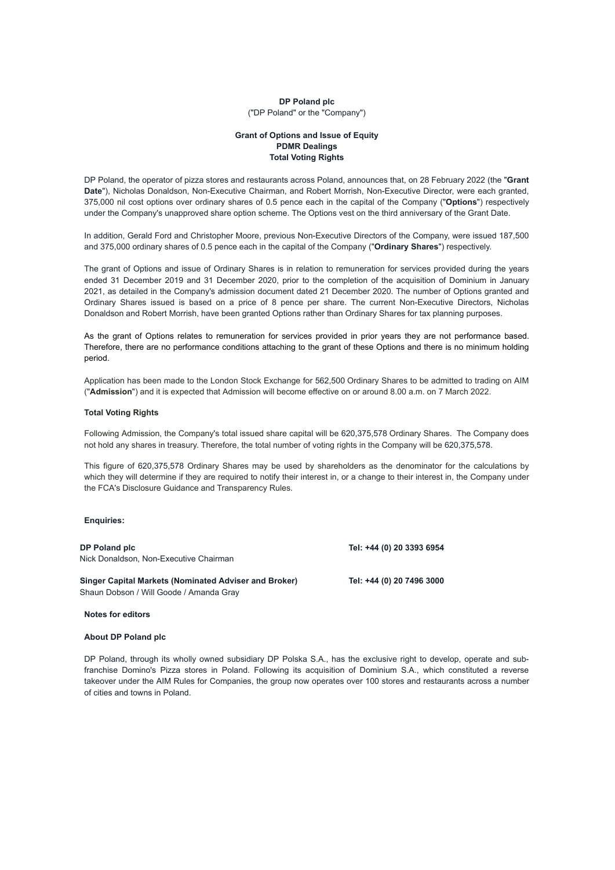# **DP Poland plc** ("DP Poland" or the "Company")

# **Grant of Options and Issue of Equity PDMR Dealings Total Voting Rights**

DP Poland, the operator of pizza stores and restaurants across Poland, announces that, on 28 February 2022 (the "**Grant Date**"), Nicholas Donaldson, Non-Executive Chairman, and Robert Morrish, Non-Executive Director, were each granted, 375,000 nil cost options over ordinary shares of 0.5 pence each in the capital of the Company ("**Options**") respectively under the Company's unapproved share option scheme. The Options vest on the third anniversary of the Grant Date.

In addition, Gerald Ford and Christopher Moore, previous Non-Executive Directors of the Company, were issued 187,500 and 375,000 ordinary shares of 0.5 pence each in the capital of the Company ("**Ordinary Shares**") respectively.

The grant of Options and issue of Ordinary Shares is in relation to remuneration for services provided during the years ended 31 December 2019 and 31 December 2020, prior to the completion of the acquisition of Dominium in January 2021, as detailed in the Company's admission document dated 21 December 2020. The number of Options granted and Ordinary Shares issued is based on a price of 8 pence per share. The current Non-Executive Directors, Nicholas Donaldson and Robert Morrish, have been granted Options rather than Ordinary Shares for tax planning purposes.

As the grant of Options relates to remuneration for services provided in prior years they are not performance based. Therefore, there are no performance conditions attaching to the grant of these Options and there is no minimum holding period.

Application has been made to the London Stock Exchange for 562,500 Ordinary Shares to be admitted to trading on AIM ("**Admission**") and it is expected that Admission will become effective on or around 8.00 a.m. on 7 March 2022.

### **Total Voting Rights**

Following Admission, the Company's total issued share capital will be 620,375,578 Ordinary Shares. The Company does not hold any shares in treasury. Therefore, the total number of voting rights in the Company will be 620,375,578.

This figure of 620,375,578 Ordinary Shares may be used by shareholders as the denominator for the calculations by which they will determine if they are required to notify their interest in, or a change to their interest in, the Company under the FCA's Disclosure Guidance and Transparency Rules.

#### **Enquiries:**

**DP Poland plc Tel: +44 (0) 20 3393 6954** Nick Donaldson, Non-Executive Chairman

**Singer Capital Markets (Nominated Adviser and Broker) Tel: +44 (0) 20 7496 3000** Shaun Dobson / Will Goode / Amanda Gray

**Notes for editors**

**About DP Poland plc**

DP Poland, through its wholly owned subsidiary DP Polska S.A., has the exclusive right to develop, operate and subfranchise Domino's Pizza stores in Poland. Following its acquisition of Dominium S.A., which constituted a reverse takeover under the AIM Rules for Companies, the group now operates over 100 stores and restaurants across a number of cities and towns in Poland.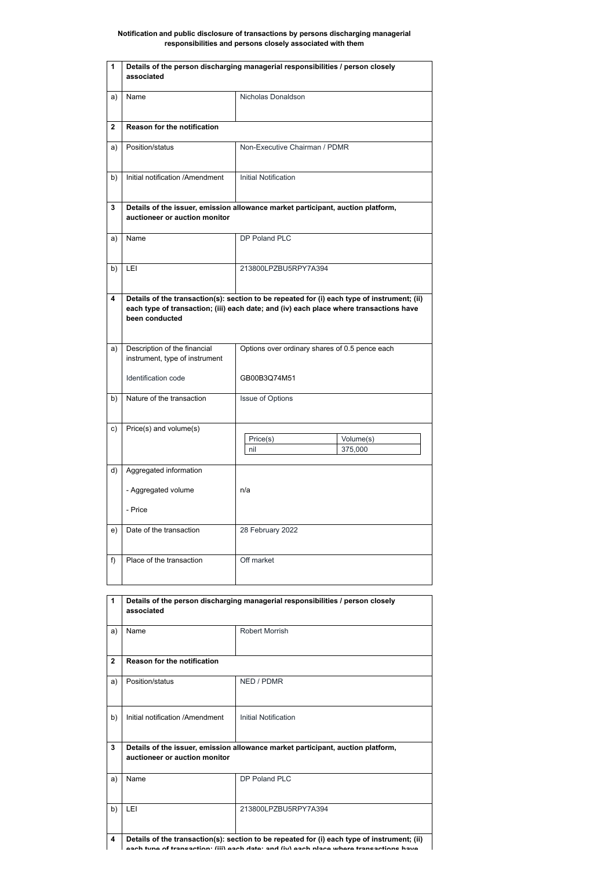## **Notification and public disclosure of transactions by persons discharging managerial responsibilities and persons closely associated with them**

| 1           | Details of the person discharging managerial responsibilities / person closely<br>associated                     |                                                                                                                                                                                       |  |
|-------------|------------------------------------------------------------------------------------------------------------------|---------------------------------------------------------------------------------------------------------------------------------------------------------------------------------------|--|
| a)          | Name                                                                                                             | Nicholas Donaldson                                                                                                                                                                    |  |
| $\mathbf 2$ | <b>Reason for the notification</b>                                                                               |                                                                                                                                                                                       |  |
| a)          | Position/status                                                                                                  | Non-Executive Chairman / PDMR                                                                                                                                                         |  |
| b)          | Initial notification /Amendment                                                                                  | <b>Initial Notification</b>                                                                                                                                                           |  |
| 3           | Details of the issuer, emission allowance market participant, auction platform,<br>auctioneer or auction monitor |                                                                                                                                                                                       |  |
| a)          | Name                                                                                                             | DP Poland PLC                                                                                                                                                                         |  |
| b)          | LEI                                                                                                              | 213800LPZBU5RPY7A394                                                                                                                                                                  |  |
| 4           | been conducted                                                                                                   | Details of the transaction(s): section to be repeated for (i) each type of instrument; (ii)<br>each type of transaction; (iii) each date; and (iv) each place where transactions have |  |
| a)          | Description of the financial<br>instrument, type of instrument                                                   | Options over ordinary shares of 0.5 pence each                                                                                                                                        |  |
|             | Identification code                                                                                              | GB00B3Q74M51                                                                                                                                                                          |  |
| b)          | Nature of the transaction                                                                                        | <b>Issue of Options</b>                                                                                                                                                               |  |
| c)          | Price(s) and volume(s)                                                                                           | Price(s)<br>Volume(s)<br>375,000<br>nil                                                                                                                                               |  |
| d)          | Aggregated information                                                                                           |                                                                                                                                                                                       |  |
|             | - Aggregated volume                                                                                              | n/a                                                                                                                                                                                   |  |
|             | - Price                                                                                                          |                                                                                                                                                                                       |  |
| e)          | Date of the transaction                                                                                          | 28 February 2022                                                                                                                                                                      |  |
| f)          | Place of the transaction                                                                                         | Off market                                                                                                                                                                            |  |

| Details of the person discharging managerial responsibilities / person closely<br>associated |                       |
|----------------------------------------------------------------------------------------------|-----------------------|
| Name                                                                                         | <b>Robert Morrish</b> |

| $\mathbf{2}$ | <b>Reason for the notification</b>                                                                               |                                                                                                                                                                                       |  |
|--------------|------------------------------------------------------------------------------------------------------------------|---------------------------------------------------------------------------------------------------------------------------------------------------------------------------------------|--|
| a)           | Position/status                                                                                                  | NED / PDMR                                                                                                                                                                            |  |
| b)           | Initial notification /Amendment                                                                                  | Initial Notification                                                                                                                                                                  |  |
| $\mathbf{3}$ | Details of the issuer, emission allowance market participant, auction platform,<br>auctioneer or auction monitor |                                                                                                                                                                                       |  |
| a)           | Name                                                                                                             | DP Poland PLC                                                                                                                                                                         |  |
| b)           | LEI                                                                                                              | 213800LPZBU5RPY7A394                                                                                                                                                                  |  |
| 4            |                                                                                                                  | Details of the transaction(s): section to be repeated for (i) each type of instrument; (ii)<br>aach tune of transaction: (iii) each date; and (iv) each place where transactions have |  |